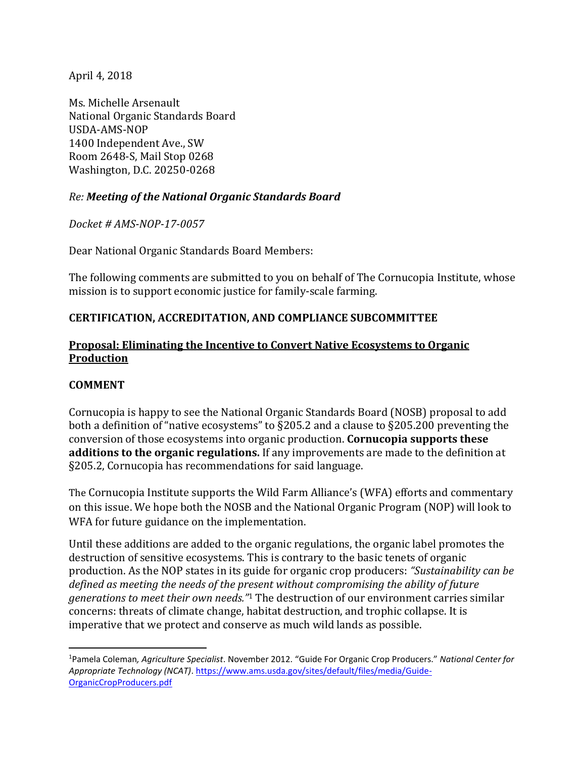April 4, 2018

Ms. Michelle Arsenault National Organic Standards Board USDA-AMS-NOP 1400 Independent Ave., SW Room 2648-S, Mail Stop 0268 Washington, D.C. 20250-0268

## *Re: Meeting of the National Organic Standards Board*

*Docket # AMS-NOP-17-0057*

Dear National Organic Standards Board Members:

The following comments are submitted to you on behalf of The Cornucopia Institute, whose mission is to support economic justice for family-scale farming.

#### **CERTIFICATION, ACCREDITATION, AND COMPLIANCE SUBCOMMITTEE**

#### **Proposal: Eliminating the Incentive to Convert Native Ecosystems to Organic Production**

#### **COMMENT**

 $\overline{\phantom{a}}$ 

Cornucopia is happy to see the National Organic Standards Board (NOSB) proposal to add both a definition of "native ecosystems" to §205.2 and a clause to §205.200 preventing the conversion of those ecosystems into organic production. **Cornucopia supports these additions to the organic regulations.** If any improvements are made to the definition at §205.2, Cornucopia has recommendations for said language.

The Cornucopia Institute supports the Wild Farm Alliance's (WFA) efforts and commentary on this issue. We hope both the NOSB and the National Organic Program (NOP) will look to WFA for future guidance on the implementation.

Until these additions are added to the organic regulations, the organic label promotes the destruction of sensitive ecosystems. This is contrary to the basic tenets of organic production. As the NOP states in its guide for organic crop producers: *"Sustainability can be defined as meeting the needs of the present without compromising the ability of future generations to meet their own needs."*<sup>1</sup> The destruction of our environment carries similar concerns: threats of climate change, habitat destruction, and trophic collapse. It is imperative that we protect and conserve as much wild lands as possible.

<sup>1</sup>Pamela Coleman*, Agriculture Specialist*. November 2012. "Guide For Organic Crop Producers." *National Center for Appropriate Technology (NCAT)*[. https://www.ams.usda.gov/sites/default/files/media/Guide-](https://www.ams.usda.gov/sites/default/files/media/Guide-OrganicCropProducers.pdf)[OrganicCropProducers.pdf](https://www.ams.usda.gov/sites/default/files/media/Guide-OrganicCropProducers.pdf)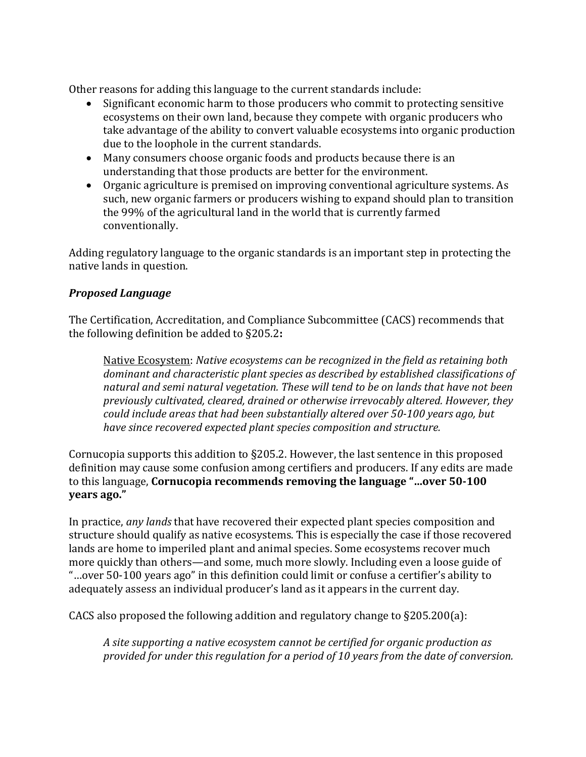Other reasons for adding this language to the current standards include:

- Significant economic harm to those producers who commit to protecting sensitive ecosystems on their own land, because they compete with organic producers who take advantage of the ability to convert valuable ecosystems into organic production due to the loophole in the current standards.
- Many consumers choose organic foods and products because there is an understanding that those products are better for the environment.
- Organic agriculture is premised on improving conventional agriculture systems. As such, new organic farmers or producers wishing to expand should plan to transition the 99% of the agricultural land in the world that is currently farmed conventionally.

Adding regulatory language to the organic standards is an important step in protecting the native lands in question.

## *Proposed Language*

The Certification, Accreditation, and Compliance Subcommittee (CACS) recommends that the following definition be added to §205.2**:**

Native Ecosystem: *Native ecosystems can be recognized in the field as retaining both dominant and characteristic plant species as described by established classifications of natural and semi natural vegetation. These will tend to be on lands that have not been previously cultivated, cleared, drained or otherwise irrevocably altered. However, they could include areas that had been substantially altered over 50-100 years ago, but have since recovered expected plant species composition and structure.*

Cornucopia supports this addition to §205.2. However, the last sentence in this proposed definition may cause some confusion among certifiers and producers. If any edits are made to this language, **Cornucopia recommends removing the language "…over 50-100 years ago."**

In practice, *any lands* that have recovered their expected plant species composition and structure should qualify as native ecosystems. This is especially the case if those recovered lands are home to imperiled plant and animal species. Some ecosystems recover much more quickly than others—and some, much more slowly. Including even a loose guide of "…over 50-100 years ago" in this definition could limit or confuse a certifier's ability to adequately assess an individual producer's land as it appears in the current day.

CACS also proposed the following addition and regulatory change to §205.200(a):

*A site supporting a native ecosystem cannot be certified for organic production as provided for under this regulation for a period of 10 years from the date of conversion.*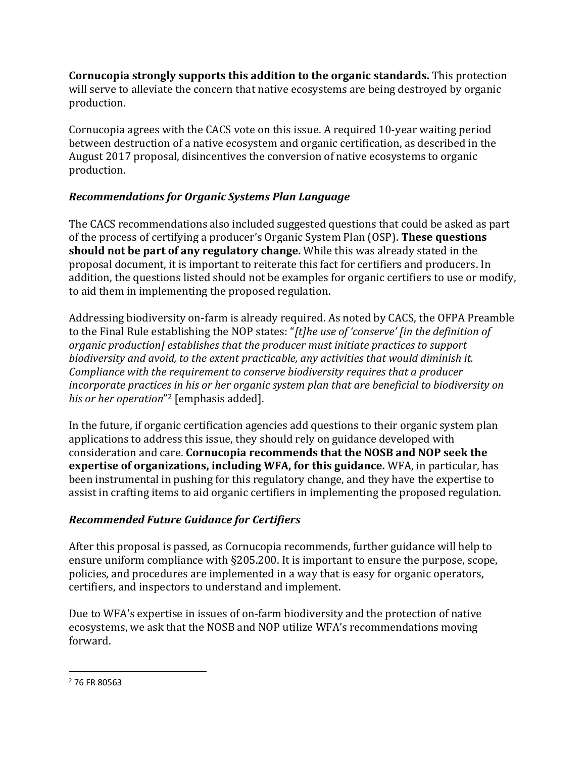**Cornucopia strongly supports this addition to the organic standards.** This protection will serve to alleviate the concern that native ecosystems are being destroyed by organic production.

Cornucopia agrees with the CACS vote on this issue. A required 10-year waiting period between destruction of a native ecosystem and organic certification, as described in the August 2017 proposal, disincentives the conversion of native ecosystems to organic production.

# *Recommendations for Organic Systems Plan Language*

The CACS recommendations also included suggested questions that could be asked as part of the process of certifying a producer's Organic System Plan (OSP). **These questions should not be part of any regulatory change.** While this was already stated in the proposal document, it is important to reiterate this fact for certifiers and producers. In addition, the questions listed should not be examples for organic certifiers to use or modify, to aid them in implementing the proposed regulation.

Addressing biodiversity on-farm is already required. As noted by CACS, the OFPA Preamble to the Final Rule establishing the NOP states: "*[t]he use of 'conserve' [in the definition of organic production] establishes that the producer must initiate practices to support biodiversity and avoid, to the extent practicable, any activities that would diminish it. Compliance with the requirement to conserve biodiversity requires that a producer incorporate practices in his or her organic system plan that are beneficial to biodiversity on his or her operation*" <sup>2</sup> [emphasis added].

In the future, if organic certification agencies add questions to their organic system plan applications to address this issue, they should rely on guidance developed with consideration and care. **Cornucopia recommends that the NOSB and NOP seek the expertise of organizations, including WFA, for this guidance.** WFA, in particular, has been instrumental in pushing for this regulatory change, and they have the expertise to assist in crafting items to aid organic certifiers in implementing the proposed regulation.

# *Recommended Future Guidance for Certifiers*

After this proposal is passed, as Cornucopia recommends, further guidance will help to ensure uniform compliance with §205.200. It is important to ensure the purpose, scope, policies, and procedures are implemented in a way that is easy for organic operators, certifiers, and inspectors to understand and implement.

Due to WFA's expertise in issues of on-farm biodiversity and the protection of native ecosystems, we ask that the NOSB and NOP utilize WFA's recommendations moving forward.

 $\overline{\phantom{a}}$ 

<sup>2</sup> 76 FR 80563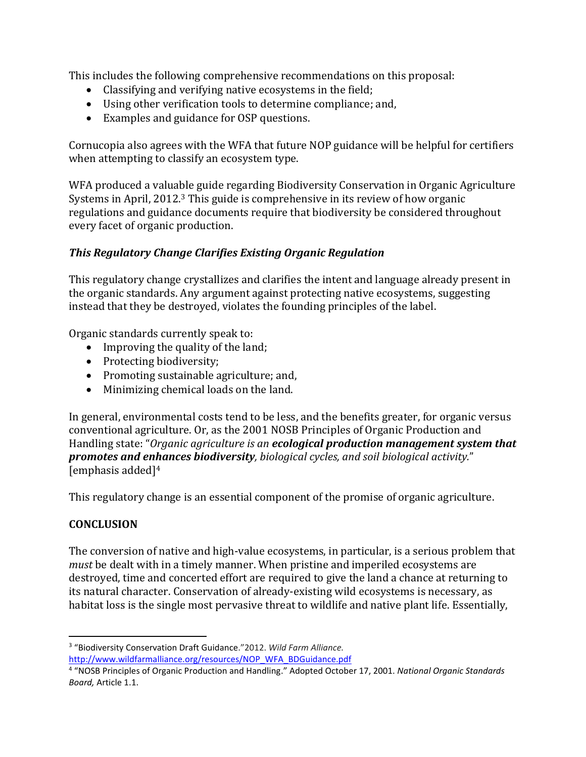This includes the following comprehensive recommendations on this proposal:

- Classifying and verifying native ecosystems in the field;
- Using other verification tools to determine compliance; and,
- Examples and guidance for OSP questions.

Cornucopia also agrees with the WFA that future NOP guidance will be helpful for certifiers when attempting to classify an ecosystem type.

WFA produced a valuable guide regarding Biodiversity Conservation in Organic Agriculture Systems in April, 2012.<sup>3</sup> This guide is comprehensive in its review of how organic regulations and guidance documents require that biodiversity be considered throughout every facet of organic production.

## *This Regulatory Change Clarifies Existing Organic Regulation*

This regulatory change crystallizes and clarifies the intent and language already present in the organic standards. Any argument against protecting native ecosystems, suggesting instead that they be destroyed, violates the founding principles of the label.

Organic standards currently speak to:

- Improving the quality of the land;
- Protecting biodiversity;
- Promoting sustainable agriculture; and,
- Minimizing chemical loads on the land.

In general, environmental costs tend to be less, and the benefits greater, for organic versus conventional agriculture. Or, as the 2001 NOSB Principles of Organic Production and Handling state: "*Organic agriculture is an ecological production management system that promotes and enhances biodiversity, biological cycles, and soil biological activity.*" [emphasis added]<sup>4</sup>

This regulatory change is an essential component of the promise of organic agriculture.

## **CONCLUSION**

 $\overline{a}$ 

The conversion of native and high-value ecosystems, in particular, is a serious problem that *must* be dealt with in a timely manner. When pristine and imperiled ecosystems are destroyed, time and concerted effort are required to give the land a chance at returning to its natural character. Conservation of already-existing wild ecosystems is necessary, as habitat loss is the single most pervasive threat to wildlife and native plant life. Essentially,

<sup>3</sup> "Biodiversity Conservation Draft Guidance."2012. *Wild Farm Alliance.*  [http://www.wildfarmalliance.org/resources/NOP\\_WFA\\_BDGuidance.pdf](http://www.wildfarmalliance.org/resources/NOP_WFA_BDGuidance.pdf)

<sup>4</sup> "NOSB Principles of Organic Production and Handling." Adopted October 17, 2001. *National Organic Standards Board,* Article 1.1.